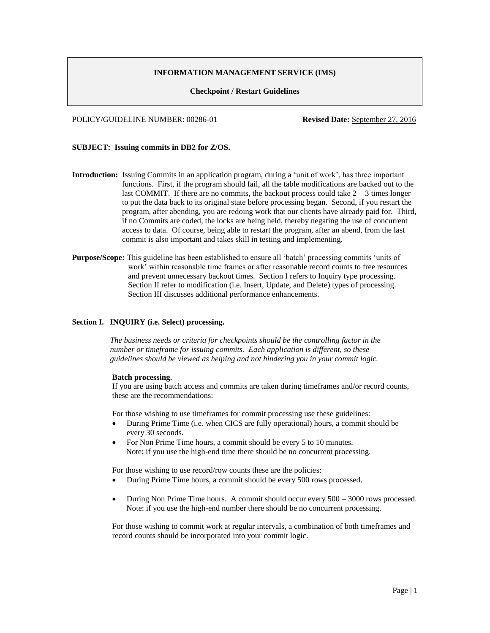# **INFORMATION MANAGEMENT SERVICE (IMS)**

### **Checkpoint / Restart Guidelines**

POLICY/GUIDELINE NUMBER: 00286-01 **Revised Date:** September 27, 2016

# **SUBJECT: Issuing commits in DB2 for Z/OS.**

- **Introduction:** Issuing Commits in an application program, during a 'unit of work', has three important functions. First, if the program should fail, all the table modifications are backed out to the last COMMIT. If there are no commits, the backout process could take  $2 - 3$  times longer to put the data back to its original state before processing began. Second, if you restart the program, after abending, you are redoing work that our clients have already paid for. Third, if no Commits are coded, the locks are being held, thereby negating the use of concurrent access to data. Of course, being able to restart the program, after an abend, from the last commit is also important and takes skill in testing and implementing.
- **Purpose/Scope:** This guideline has been established to ensure all 'batch' processing commits 'units of work' within reasonable time frames or after reasonable record counts to free resources and prevent unnecessary backout times. Section I refers to Inquiry type processing. Section II refer to modification (i.e. Insert, Update, and Delete) types of processing. Section III discusses additional performance enhancements.

### **Section I. INQUIRY (i.e. Select) processing.**

*The business needs or criteria for checkpoints should be the controlling factor in the number or timeframe for issuing commits. Each application is different, so these guidelines should be viewed as helping and not hindering you in your commit logic.* 

#### **Batch processing.**

If you are using batch access and commits are taken during timeframes and/or record counts, these are the recommendations:

For those wishing to use timeframes for commit processing use these guidelines:

- During Prime Time (i.e. when CICS are fully operational) hours, a commit should be every 30 seconds.
- For Non Prime Time hours, a commit should be every 5 to 10 minutes. Note: if you use the high-end time there should be no concurrent processing.

For those wishing to use record/row counts these are the policies:

- During Prime Time hours, a commit should be every 500 rows processed.
- During Non Prime Time hours. A commit should occur every 500 3000 rows processed. Note: if you use the high-end number there should be no concurrent processing.

For those wishing to commit work at regular intervals, a combination of both timeframes and record counts should be incorporated into your commit logic.